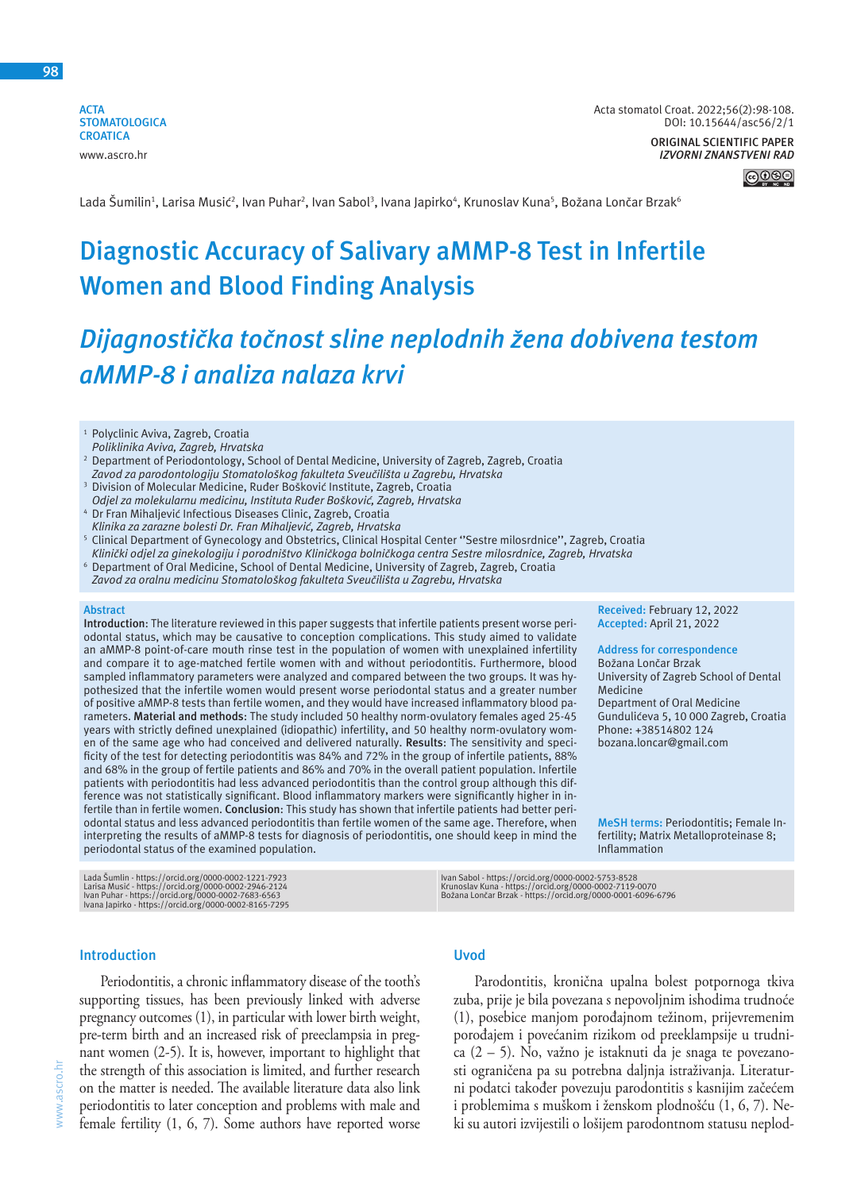**ACTA STOMATOLOGICA CROATICA** www.ascro.hr

**ORIGINAL SCIENTIFIC PAPER** *IZVORNI ZNANSTVENI RAD*



Lada Šumilin<sup>1</sup>, Larisa Musić<sup>2</sup>, Ivan Puhar<sup>2</sup>, Ivan Sabol<sup>3</sup>, Ivana Japirko<sup>4</sup>, Krunoslav Kuna<sup>5</sup>, Božana Lončar Brzak<sup>6</sup>

# **Diagnostic Accuracy of Salivary aMMP-8 Test in Infertile Women and Blood Finding Analysis**

# *Dijagnostička točnost sline neplodnih žena dobivena testom aMMP-8 i analiza nalaza krvi*

<sup>1</sup> Polyclinic Aviva, Zagreb, Croatia

- 2 Department of Periodontology, School of Dental Medicine, University of Zagreb, Zagreb, Croatia *Zavod za parodontologiju Stomatološkog fakulteta Sveučilišta u Zagrebu, Hrvatska*
- 3 Division of Molecular Medicine, Ruđer Bošković Institute, Zagreb, Croatia
- *Odjel za molekularnu medicinu, Instituta Ruđer Bošković, Zagreb, Hrvatska* 4 Dr Fran Mihaljević Infectious Diseases Clinic, Zagreb, Croatia
- *Klinika za zarazne bolesti Dr. Fran Mihaljević, Zagreb, Hrvatska* 5 Clinical Department of Gynecology and Obstetrics, Clinical Hospital Center ''Sestre milosrdnice'', Zagreb, Croatia

*Klinički odjel za ginekologiju i porodništvo Kliničkoga bolničkoga centra Sestre milosrdnice, Zagreb, Hrvatska*

- 6 Department of Oral Medicine, School of Dental Medicine, University of Zagreb, Zagreb, Croatia
- *Zavod za oralnu medicinu Stomatološkog fakulteta Sveučilišta u Zagrebu, Hrvatska*

#### **Abstract**

**Introduction**: The literature reviewed in this paper suggests that infertile patients present worse periodontal status, which may be causative to conception complications. This study aimed to validate an aMMP-8 point-of-care mouth rinse test in the population of women with unexplained infertility and compare it to age-matched fertile women with and without periodontitis. Furthermore, blood sampled inflammatory parameters were analyzed and compared between the two groups. It was hypothesized that the infertile women would present worse periodontal status and a greater number of positive aMMP-8 tests than fertile women, and they would have increased inflammatory blood parameters. **Material and methods**: The study included 50 healthy norm-ovulatory females aged 25-45 years with strictly defined unexplained (idiopathic) infertility, and 50 healthy norm-ovulatory women of the same age who had conceived and delivered naturally. **Results**: The sensitivity and specificity of the test for detecting periodontitis was 84% and 72% in the group of infertile patients, 88% and 68% in the group of fertile patients and 86% and 70% in the overall patient population. Infertile patients with periodontitis had less advanced periodontitis than the control group although this difference was not statistically significant. Blood inflammatory markers were significantly higher in infertile than in fertile women. **Conclusion**: This study has shown that infertile patients had better periodontal status and less advanced periodontitis than fertile women of the same age. Therefore, when interpreting the results of aMMP-8 tests for diagnosis of periodontitis, one should keep in mind the periodontal status of the examined population.

Lada Šumlin - https://orcid.org/0000-0002-1221-7923<br>Larisa Musić - https://orcid.org/0000-0002-2946-2124<br>Ivan Puhar - https://orcid.org/0000-0002-83165-7295<br>Ivana Japirko - https://orcid.org/0000-0002-8165-7295

**Received:** February 12, 2022 **Accepted:** April 21, 2022

### **Address for correspondence**

Božana Lončar Brzak University of Zagreb School of Dental **Medicine** Department of Oral Medicine Gundulićeva 5, 10 000 Zagreb, Croatia Phone: +38514802 124

bozana.loncar@gmail.com

**MeSH terms:** Periodontitis; Female Infertility; Matrix Metalloproteinase 8; Inflammation

Ivan Sabol - https://orcid.org/0000-0002-5753-8528 Krunoslav Kuna - https://orcid.org/0000-0002-7119-0070 Božana Lončar Brzak - https://orcid.org/0000-0001-6096-6796

#### **Introduction**

Periodontitis, a chronic inflammatory disease of the tooth's supporting tissues, has been previously linked with adverse pregnancy outcomes (1), in particular with lower birth weight, pre-term birth and an increased risk of preeclampsia in pregnant women (2-5). It is, however, important to highlight that the strength of this association is limited, and further research on the matter is needed. The available literature data also link periodontitis to later conception and problems with male and female fertility (1, 6, 7). Some authors have reported worse

## **Uvod**

Parodontitis, kronična upalna bolest potpornoga tkiva zuba, prije je bila povezana s nepovoljnim ishodima trudnoće (1), posebice manjom porođajnom težinom, prijevremenim porođajem i povećanim rizikom od preeklampsije u trudnica (2 – 5). No, važno je istaknuti da je snaga te povezanosti ograničena pa su potrebna daljnja istraživanja. Literaturni podatci također povezuju parodontitis s kasnijim začećem i problemima s muškom i ženskom plodnošću (1, 6, 7). Neki su autori izvijestili o lošijem parodontnom statusu neplod-

*Poliklinika Aviva, Zagreb, Hrvatska*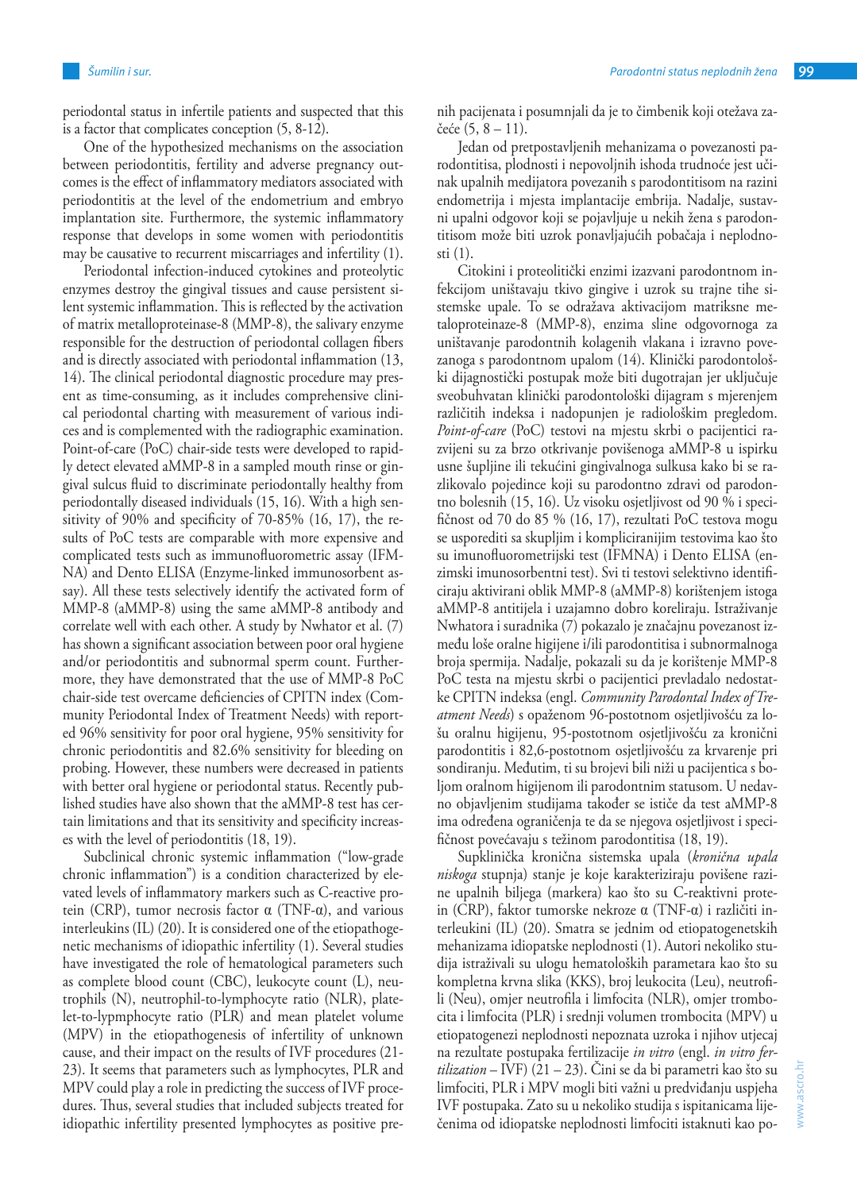periodontal status in infertile patients and suspected that this is a factor that complicates conception (5, 8-12).

One of the hypothesized mechanisms on the association between periodontitis, fertility and adverse pregnancy outcomes is the effect of inflammatory mediators associated with periodontitis at the level of the endometrium and embryo implantation site. Furthermore, the systemic inflammatory response that develops in some women with periodontitis may be causative to recurrent miscarriages and infertility (1).

Periodontal infection-induced cytokines and proteolytic enzymes destroy the gingival tissues and cause persistent silent systemic inflammation. This is reflected by the activation of matrix metalloproteinase-8 (MMP-8), the salivary enzyme responsible for the destruction of periodontal collagen fibers and is directly associated with periodontal inflammation (13, 14). The clinical periodontal diagnostic procedure may present as time-consuming, as it includes comprehensive clinical periodontal charting with measurement of various indices and is complemented with the radiographic examination. Point-of-care (PoC) chair-side tests were developed to rapidly detect elevated aMMP-8 in a sampled mouth rinse or gingival sulcus fluid to discriminate periodontally healthy from periodontally diseased individuals (15, 16). With a high sensitivity of 90% and specificity of 70-85% (16, 17), the results of PoC tests are comparable with more expensive and complicated tests such as immunofluorometric assay (IFM-NA) and Dento ELISA (Enzyme-linked immunosorbent assay). All these tests selectively identify the activated form of MMP-8 (aMMP-8) using the same aMMP-8 antibody and correlate well with each other. A study by Nwhator et al. (7) has shown a significant association between poor oral hygiene and/or periodontitis and subnormal sperm count. Furthermore, they have demonstrated that the use of MMP-8 PoC chair-side test overcame deficiencies of CPITN index (Community Periodontal Index of Treatment Needs) with reported 96% sensitivity for poor oral hygiene, 95% sensitivity for chronic periodontitis and 82.6% sensitivity for bleeding on probing. However, these numbers were decreased in patients with better oral hygiene or periodontal status. Recently published studies have also shown that the aMMP-8 test has certain limitations and that its sensitivity and specificity increases with the level of periodontitis (18, 19).

Subclinical chronic systemic inflammation ("low-grade chronic inflammation") is a condition characterized by elevated levels of inflammatory markers such as C-reactive protein (CRP), tumor necrosis factor  $α$  (TNF- $α$ ), and various interleukins (IL) (20). It is considered one of the etiopathogenetic mechanisms of idiopathic infertility (1). Several studies have investigated the role of hematological parameters such as complete blood count (CBC), leukocyte count (L), neutrophils (N), neutrophil-to-lymphocyte ratio (NLR), platelet-to-lypmphocyte ratio (PLR) and mean platelet volume (MPV) in the etiopathogenesis of infertility of unknown cause, and their impact on the results of IVF procedures (21- 23). It seems that parameters such as lymphocytes, PLR and MPV could play a role in predicting the success of IVF procedures. Thus, several studies that included subjects treated for idiopathic infertility presented lymphocytes as positive prenih pacijenata i posumnjali da je to čimbenik koji otežava začeće (5, 8 – 11).

Jedan od pretpostavljenih mehanizama o povezanosti parodontitisa, plodnosti i nepovoljnih ishoda trudnoće jest učinak upalnih medijatora povezanih s parodontitisom na razini endometrija i mjesta implantacije embrija. Nadalje, sustavni upalni odgovor koji se pojavljuje u nekih žena s parodontitisom može biti uzrok ponavljajućih pobačaja i neplodnosti (1).

Citokini i proteolitički enzimi izazvani parodontnom infekcijom uništavaju tkivo gingive i uzrok su trajne tihe sistemske upale. To se odražava aktivacijom matriksne metaloproteinaze-8 (MMP-8), enzima sline odgovornoga za uništavanje parodontnih kolagenih vlakana i izravno povezanoga s parodontnom upalom (14). Klinički parodontološki dijagnostički postupak može biti dugotrajan jer uključuje sveobuhvatan klinički parodontološki dijagram s mjerenjem različitih indeksa i nadopunjen je radiološkim pregledom. *Point-of-care* (PoC) testovi na mjestu skrbi o pacijentici razvijeni su za brzo otkrivanje povišenoga aMMP-8 u ispirku usne šupljine ili tekućini gingivalnoga sulkusa kako bi se razlikovalo pojedince koji su parodontno zdravi od parodontno bolesnih (15, 16). Uz visoku osjetljivost od 90 % i specifičnost od 70 do 85 % (16, 17), rezultati PoC testova mogu se usporediti sa skupljim i kompliciranijim testovima kao što su imunofluorometrijski test (IFMNA) i Dento ELISA (enzimski imunosorbentni test). Svi ti testovi selektivno identificiraju aktivirani oblik MMP-8 (aMMP-8) korištenjem istoga aMMP-8 antitijela i uzajamno dobro koreliraju. Istraživanje Nwhatora i suradnika (7) pokazalo je značajnu povezanost između loše oralne higijene i/ili parodontitisa i subnormalnoga broja spermija. Nadalje, pokazali su da je korištenje MMP-8 PoC testa na mjestu skrbi o pacijentici prevladalo nedostatke CPITN indeksa (engl. *Community Parodontal Index of Treatment Needs*) s opaženom 96-postotnom osjetljivošću za lošu oralnu higijenu, 95-postotnom osjetljivošću za kronični parodontitis i 82,6-postotnom osjetljivošću za krvarenje pri sondiranju. Međutim, ti su brojevi bili niži u pacijentica s boljom oralnom higijenom ili parodontnim statusom. U nedavno objavljenim studijama također se ističe da test aMMP-8 ima određena ograničenja te da se njegova osjetljivost i specifičnost povećavaju s težinom parodontitisa (18, 19).

Supklinička kronična sistemska upala (*kronična upala niskoga* stupnja) stanje je koje karakteriziraju povišene razine upalnih biljega (markera) kao što su C-reaktivni protein (CRP), faktor tumorske nekroze α (TNF-α) i različiti interleukini (IL) (20). Smatra se jednim od etiopatogenetskih mehanizama idiopatske neplodnosti (1). Autori nekoliko studija istraživali su ulogu hematoloških parametara kao što su kompletna krvna slika (KKS), broj leukocita (Leu), neutrofili (Neu), omjer neutrofila i limfocita (NLR), omjer trombocita i limfocita (PLR) i srednji volumen trombocita (MPV) u etiopatogenezi neplodnosti nepoznata uzroka i njihov utjecaj na rezultate postupaka fertilizacije *in vitro* (engl. *in vitro fertilization* – IVF) (21 – 23). Čini se da bi parametri kao što su limfociti, PLR i MPV mogli biti važni u predviđanju uspjeha IVF postupaka. Zato su u nekoliko studija s ispitanicama liječenima od idiopatske neplodnosti limfociti istaknuti kao po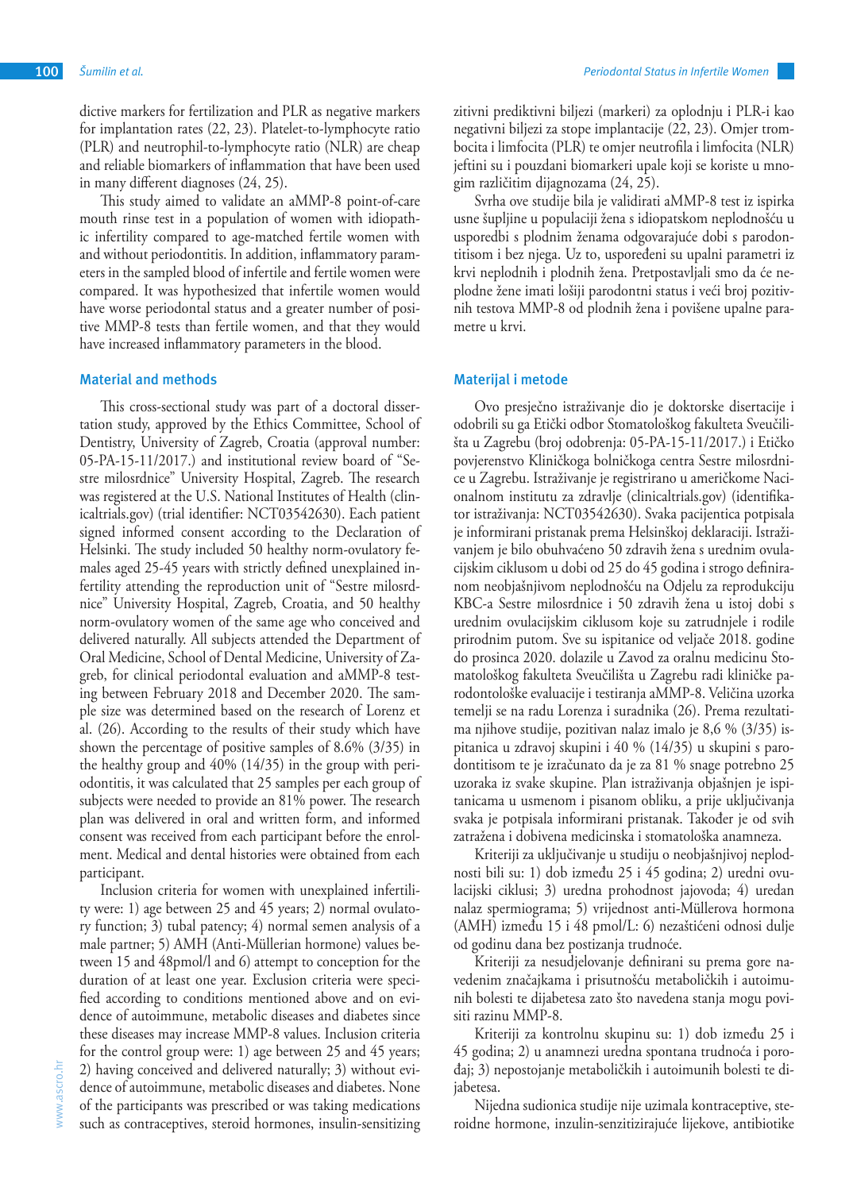dictive markers for fertilization and PLR as negative markers for implantation rates (22, 23). Platelet-to-lymphocyte ratio (PLR) and neutrophil-to-lymphocyte ratio (NLR) are cheap and reliable biomarkers of inflammation that have been used in many different diagnoses (24, 25).

This study aimed to validate an aMMP-8 point-of-care mouth rinse test in a population of women with idiopathic infertility compared to age-matched fertile women with and without periodontitis. In addition, inflammatory parameters in the sampled blood of infertile and fertile women were compared. It was hypothesized that infertile women would have worse periodontal status and a greater number of positive MMP-8 tests than fertile women, and that they would have increased inflammatory parameters in the blood.

#### **Material and methods**

This cross-sectional study was part of a doctoral dissertation study, approved by the Ethics Committee, School of Dentistry, University of Zagreb, Croatia (approval number: 05-PA-15-11/2017.) and institutional review board of "Sestre milosrdnice" University Hospital, Zagreb. The research was registered at the U.S. National Institutes of Health (clinicaltrials.gov) (trial identifier: NCT03542630). Each patient signed informed consent according to the Declaration of Helsinki. The study included 50 healthy norm-ovulatory females aged 25-45 years with strictly defined unexplained infertility attending the reproduction unit of "Sestre milosrdnice" University Hospital, Zagreb, Croatia, and 50 healthy norm-ovulatory women of the same age who conceived and delivered naturally. All subjects attended the Department of Oral Medicine, School of Dental Medicine, University of Zagreb, for clinical periodontal evaluation and aMMP-8 testing between February 2018 and December 2020. The sample size was determined based on the research of Lorenz et al. (26). According to the results of their study which have shown the percentage of positive samples of 8.6% (3/35) in the healthy group and 40% (14/35) in the group with periodontitis, it was calculated that 25 samples per each group of subjects were needed to provide an 81% power. The research plan was delivered in oral and written form, and informed consent was received from each participant before the enrolment. Medical and dental histories were obtained from each participant.

Inclusion criteria for women with unexplained infertility were: 1) age between 25 and 45 years; 2) normal ovulatory function; 3) tubal patency; 4) normal semen analysis of a male partner; 5) AMH (Anti-Müllerian hormone) values between 15 and 48pmol/l and 6) attempt to conception for the duration of at least one year. Exclusion criteria were specified according to conditions mentioned above and on evidence of autoimmune, metabolic diseases and diabetes since these diseases may increase MMP-8 values. Inclusion criteria for the control group were: 1) age between 25 and 45 years; 2) having conceived and delivered naturally; 3) without evidence of autoimmune, metabolic diseases and diabetes. None of the participants was prescribed or was taking medications such as contraceptives, steroid hormones, insulin-sensitizing

zitivni prediktivni biljezi (markeri) za oplodnju i PLR-i kao negativni biljezi za stope implantacije (22, 23). Omjer trombocita i limfocita (PLR) te omjer neutrofila i limfocita (NLR) jeftini su i pouzdani biomarkeri upale koji se koriste u mnogim različitim dijagnozama (24, 25).

Svrha ove studije bila je validirati aMMP-8 test iz ispirka usne šupljine u populaciji žena s idiopatskom neplodnošću u usporedbi s plodnim ženama odgovarajuće dobi s parodontitisom i bez njega. Uz to, uspoređeni su upalni parametri iz krvi neplodnih i plodnih žena. Pretpostavljali smo da će neplodne žene imati lošiji parodontni status i veći broj pozitivnih testova MMP-8 od plodnih žena i povišene upalne parametre u krvi.

#### **Materijal i metode**

Ovo presječno istraživanje dio je doktorske disertacije i odobrili su ga Etički odbor Stomatološkog fakulteta Sveučilišta u Zagrebu (broj odobrenja: 05-PA-15-11/2017.) i Etičko povjerenstvo Kliničkoga bolničkoga centra Sestre milosrdnice u Zagrebu. Istraživanje je registrirano u američkome Nacionalnom institutu za zdravlje (clinicaltrials.gov) (identifikator istraživanja: NCT03542630). Svaka pacijentica potpisala je informirani pristanak prema Helsinškoj deklaraciji. Istraživanjem je bilo obuhvaćeno 50 zdravih žena s urednim ovulacijskim ciklusom u dobi od 25 do 45 godina i strogo definiranom neobjašnjivom neplodnošću na Odjelu za reprodukciju KBC-a Sestre milosrdnice i 50 zdravih žena u istoj dobi s urednim ovulacijskim ciklusom koje su zatrudnjele i rodile prirodnim putom. Sve su ispitanice od veljače 2018. godine do prosinca 2020. dolazile u Zavod za oralnu medicinu Stomatološkog fakulteta Sveučilišta u Zagrebu radi kliničke parodontološke evaluacije i testiranja aMMP-8. Veličina uzorka temelji se na radu Lorenza i suradnika (26). Prema rezultatima njihove studije, pozitivan nalaz imalo je 8,6 % (3/35) ispitanica u zdravoj skupini i 40 % (14/35) u skupini s parodontitisom te je izračunato da je za 81 % snage potrebno 25 uzoraka iz svake skupine. Plan istraživanja objašnjen je ispitanicama u usmenom i pisanom obliku, a prije uključivanja svaka je potpisala informirani pristanak. Također je od svih zatražena i dobivena medicinska i stomatološka anamneza.

Kriteriji za uključivanje u studiju o neobjašnjivoj neplodnosti bili su: 1) dob između 25 i 45 godina; 2) uredni ovulacijski ciklusi; 3) uredna prohodnost jajovoda; 4) uredan nalaz spermiograma; 5) vrijednost anti-Müllerova hormona (AMH) između 15 i 48 pmol/L: 6) nezaštićeni odnosi dulje od godinu dana bez postizanja trudnoće.

Kriteriji za nesudjelovanje definirani su prema gore navedenim značajkama i prisutnošću metaboličkih i autoimunih bolesti te dijabetesa zato što navedena stanja mogu povisiti razinu MMP-8.

Kriteriji za kontrolnu skupinu su: 1) dob između 25 i 45 godina; 2) u anamnezi uredna spontana trudnoća i porođaj; 3) nepostojanje metaboličkih i autoimunih bolesti te dijabetesa.

Nijedna sudionica studije nije uzimala kontraceptive, steroidne hormone, inzulin-senzitizirajuće lijekove, antibiotike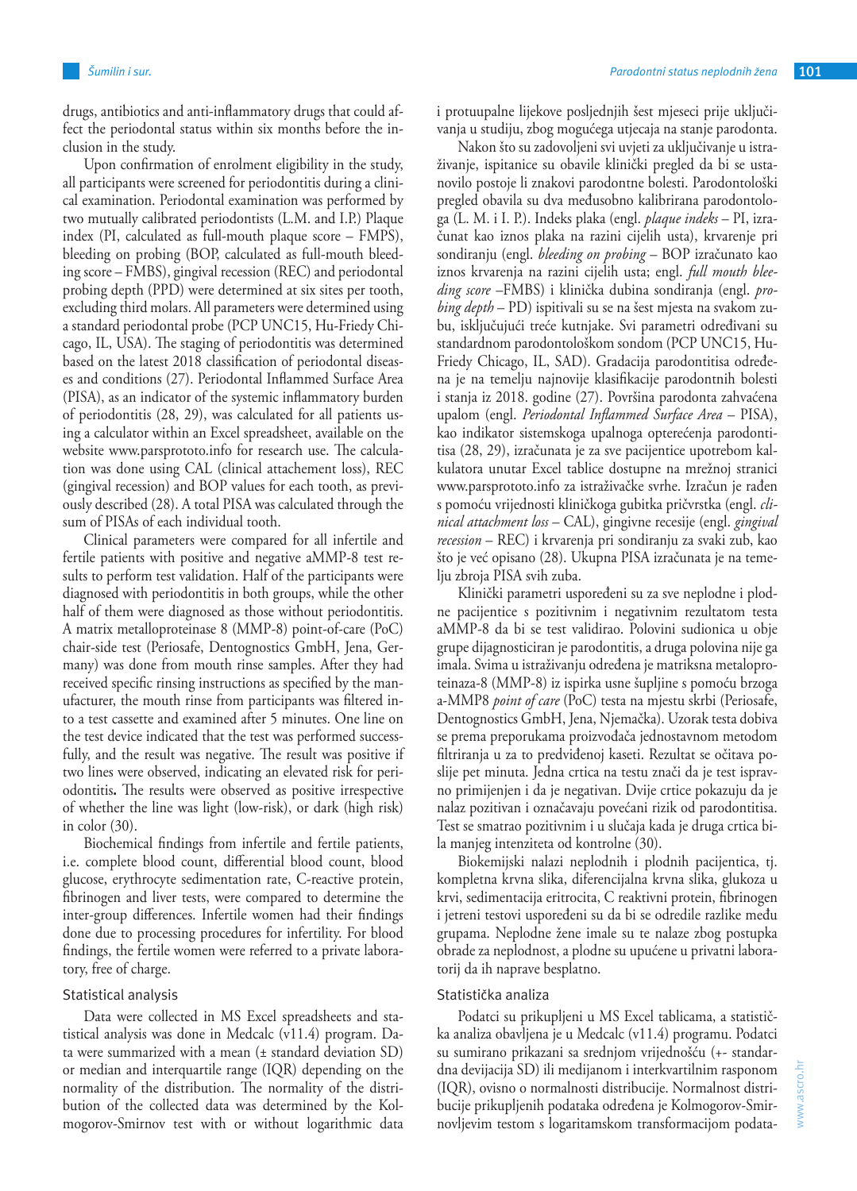drugs, antibiotics and anti-inflammatory drugs that could affect the periodontal status within six months before the inclusion in the study.

Upon confirmation of enrolment eligibility in the study, all participants were screened for periodontitis during a clinical examination. Periodontal examination was performed by two mutually calibrated periodontists (L.M. and I.P.) Plaque index (PI, calculated as full-mouth plaque score – FMPS), bleeding on probing (BOP, calculated as full-mouth bleeding score – FMBS), gingival recession (REC) and periodontal probing depth (PPD) were determined at six sites per tooth, excluding third molars. All parameters were determined using a standard periodontal probe (PCP UNC15, Hu-Friedy Chicago, IL, USA). The staging of periodontitis was determined based on the latest 2018 classification of periodontal diseases and conditions (27). Periodontal Inflammed Surface Area (PISA), as an indicator of the systemic inflammatory burden of periodontitis (28, 29), was calculated for all patients using a calculator within an Excel spreadsheet, available on the website www.parsprototo.info for research use. The calculation was done using CAL (clinical attachement loss), REC (gingival recession) and BOP values for each tooth, as previously described (28). A total PISA was calculated through the sum of PISAs of each individual tooth.

Clinical parameters were compared for all infertile and fertile patients with positive and negative aMMP-8 test results to perform test validation. Half of the participants were diagnosed with periodontitis in both groups, while the other half of them were diagnosed as those without periodontitis. A matrix metalloproteinase 8 (MMP-8) point-of-care (PoC) chair-side test (Periosafe, Dentognostics GmbH, Jena, Germany) was done from mouth rinse samples. After they had received specific rinsing instructions as specified by the manufacturer, the mouth rinse from participants was filtered into a test cassette and examined after 5 minutes. One line on the test device indicated that the test was performed successfully, and the result was negative. The result was positive if two lines were observed, indicating an elevated risk for periodontitis**.** The results were observed as positive irrespective of whether the line was light (low-risk), or dark (high risk) in color (30).

Biochemical findings from infertile and fertile patients, i.e. complete blood count, differential blood count, blood glucose, erythrocyte sedimentation rate, C-reactive protein, fibrinogen and liver tests, were compared to determine the inter-group differences. Infertile women had their findings done due to processing procedures for infertility. For blood findings, the fertile women were referred to a private laboratory, free of charge.

#### Statistical analysis

Data were collected in MS Excel spreadsheets and statistical analysis was done in Medcalc (v11.4) program. Data were summarized with a mean (± standard deviation SD) or median and interquartile range (IQR) depending on the normality of the distribution. The normality of the distribution of the collected data was determined by the Kolmogorov-Smirnov test with or without logarithmic data i protuupalne lijekove posljednjih šest mjeseci prije uključivanja u studiju, zbog mogućega utjecaja na stanje parodonta.

Nakon što su zadovoljeni svi uvjeti za uključivanje u istraživanje, ispitanice su obavile klinički pregled da bi se ustanovilo postoje li znakovi parodontne bolesti. Parodontološki pregled obavila su dva međusobno kalibrirana parodontologa (L. M. i I. P.). Indeks plaka (engl. *plaque indeks* – PI, izračunat kao iznos plaka na razini cijelih usta), krvarenje pri sondiranju (engl. *bleeding on probing* – BOP izračunato kao iznos krvarenja na razini cijelih usta; engl. *full mouth bleeding score* –FMBS) i klinička dubina sondiranja (engl. *probing depth* – PD) ispitivali su se na šest mjesta na svakom zubu, isključujući treće kutnjake. Svi parametri određivani su standardnom parodontološkom sondom (PCP UNC15, Hu-Friedy Chicago, IL, SAD). Gradacija parodontitisa određena je na temelju najnovije klasifikacije parodontnih bolesti i stanja iz 2018. godine (27). Površina parodonta zahvaćena upalom (engl. *Periodontal Inflammed Surface Area* – PISA), kao indikator sistemskoga upalnoga opterećenja parodontitisa (28, 29), izračunata je za sve pacijentice upotrebom kalkulatora unutar Excel tablice dostupne na mrežnoj stranici www.parsprototo.info za istraživačke svrhe. Izračun je rađen s pomoću vrijednosti kliničkoga gubitka pričvrstka (engl. *clinical attachment loss* – CAL), gingivne recesije (engl. *gingival recession* – REC) i krvarenja pri sondiranju za svaki zub, kao što je već opisano (28). Ukupna PISA izračunata je na temelju zbroja PISA svih zuba.

Klinički parametri uspoređeni su za sve neplodne i plodne pacijentice s pozitivnim i negativnim rezultatom testa aMMP-8 da bi se test validirao. Polovini sudionica u obje grupe dijagnosticiran je parodontitis, a druga polovina nije ga imala. Svima u istraživanju određena je matriksna metaloproteinaza-8 (MMP-8) iz ispirka usne šupljine s pomoću brzoga a-MMP8 *point of care* (PoC) testa na mjestu skrbi (Periosafe, Dentognostics GmbH, Jena, Njemačka). Uzorak testa dobiva se prema preporukama proizvođača jednostavnom metodom filtriranja u za to predviđenoj kaseti. Rezultat se očitava poslije pet minuta. Jedna crtica na testu znači da je test ispravno primijenjen i da je negativan. Dvije crtice pokazuju da je nalaz pozitivan i označavaju povećani rizik od parodontitisa. Test se smatrao pozitivnim i u slučaja kada je druga crtica bila manjeg intenziteta od kontrolne (30).

Biokemijski nalazi neplodnih i plodnih pacijentica, tj. kompletna krvna slika, diferencijalna krvna slika, glukoza u krvi, sedimentacija eritrocita, C reaktivni protein, fibrinogen i jetreni testovi uspoređeni su da bi se odredile razlike među grupama. Neplodne žene imale su te nalaze zbog postupka obrade za neplodnost, a plodne su upućene u privatni laboratorij da ih naprave besplatno.

## Statistička analiza

Podatci su prikupljeni u MS Excel tablicama, a statistička analiza obavljena je u Medcalc (v11.4) programu. Podatci su sumirano prikazani sa srednjom vrijednošću (+- standardna devijacija SD) ili medijanom i interkvartilnim rasponom (IQR), ovisno o normalnosti distribucije. Normalnost distribucije prikupljenih podataka određena je Kolmogorov-Smirnovljevim testom s logaritamskom transformacijom podata-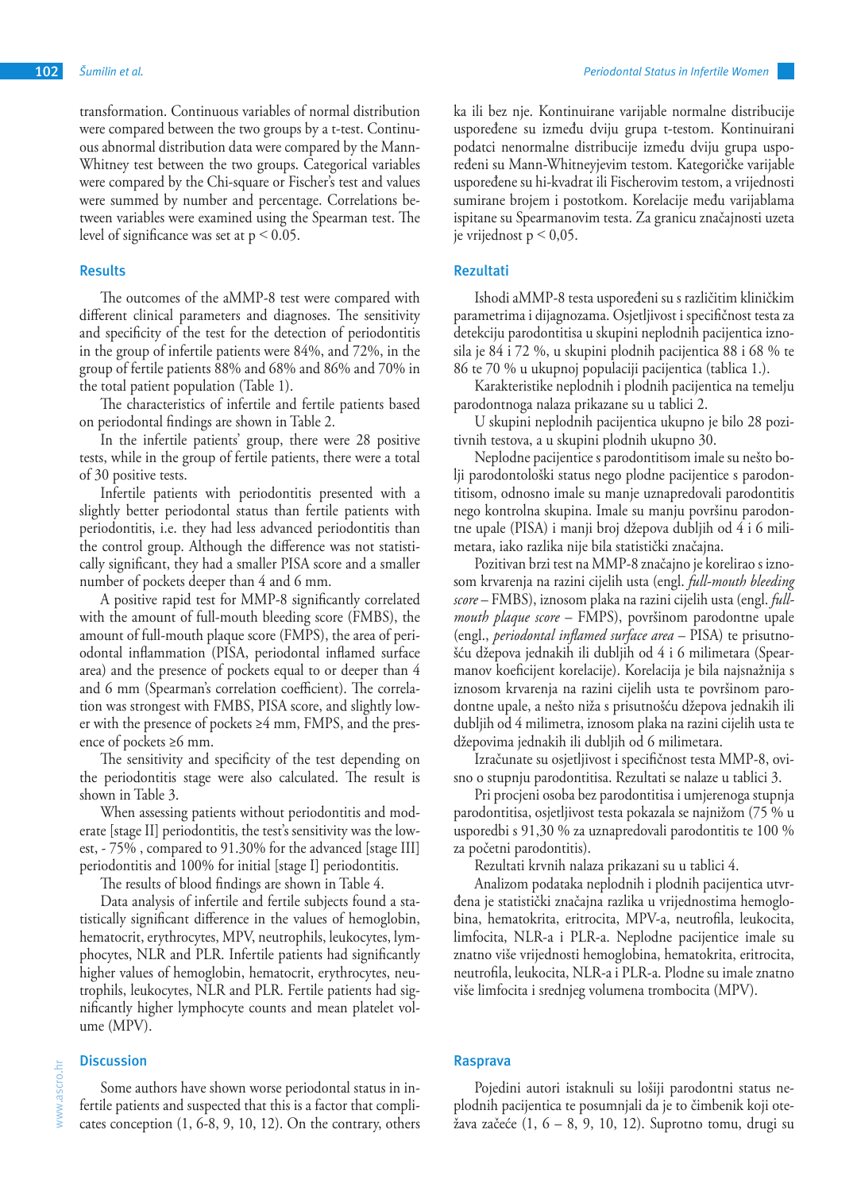transformation. Continuous variables of normal distribution were compared between the two groups by a t-test. Continuous abnormal distribution data were compared by the Mann-Whitney test between the two groups. Categorical variables were compared by the Chi-square or Fischer's test and values were summed by number and percentage. Correlations between variables were examined using the Spearman test. The level of significance was set at  $p \leq 0.05$ .

## **Results**

The outcomes of the aMMP-8 test were compared with different clinical parameters and diagnoses. The sensitivity and specificity of the test for the detection of periodontitis in the group of infertile patients were 84%, and 72%, in the group of fertile patients 88% and 68% and 86% and 70% in the total patient population (Table 1).

The characteristics of infertile and fertile patients based on periodontal findings are shown in Table 2.

In the infertile patients' group, there were 28 positive tests, while in the group of fertile patients, there were a total of 30 positive tests.

Infertile patients with periodontitis presented with a slightly better periodontal status than fertile patients with periodontitis, i.e. they had less advanced periodontitis than the control group. Although the difference was not statistically significant, they had a smaller PISA score and a smaller number of pockets deeper than 4 and 6 mm.

A positive rapid test for MMP-8 significantly correlated with the amount of full-mouth bleeding score (FMBS), the amount of full-mouth plaque score (FMPS), the area of periodontal inflammation (PISA, periodontal inflamed surface area) and the presence of pockets equal to or deeper than 4 and 6 mm (Spearman's correlation coefficient). The correlation was strongest with FMBS, PISA score, and slightly lower with the presence of pockets ≥4 mm, FMPS, and the presence of pockets ≥6 mm.

The sensitivity and specificity of the test depending on the periodontitis stage were also calculated. The result is shown in Table 3.

When assessing patients without periodontitis and moderate [stage II] periodontitis, the test's sensitivity was the lowest, - 75% , compared to 91.30% for the advanced [stage III] periodontitis and 100% for initial [stage I] periodontitis.

The results of blood findings are shown in Table 4.

Data analysis of infertile and fertile subjects found a statistically significant difference in the values of hemoglobin, hematocrit, erythrocytes, MPV, neutrophils, leukocytes, lymphocytes, NLR and PLR. Infertile patients had significantly higher values of hemoglobin, hematocrit, erythrocytes, neutrophils, leukocytes, NLR and PLR. Fertile patients had significantly higher lymphocyte counts and mean platelet volume (MPV).

#### **Discussion**

ka ili bez nje. Kontinuirane varijable normalne distribucije uspoređene su između dviju grupa t-testom. Kontinuirani podatci nenormalne distribucije između dviju grupa uspoređeni su Mann-Whitneyjevim testom. Kategoričke varijable uspoređene su hi-kvadrat ili Fischerovim testom, a vrijednosti sumirane brojem i postotkom. Korelacije među varijablama ispitane su Spearmanovim testa. Za granicu značajnosti uzeta je vrijednost p  $\leq 0.05$ .

## **Rezultati**

Ishodi aMMP-8 testa uspoređeni su s različitim kliničkim parametrima i dijagnozama. Osjetljivost i specifičnost testa za detekciju parodontitisa u skupini neplodnih pacijentica iznosila je 84 i 72 %, u skupini plodnih pacijentica 88 i 68 % te 86 te 70 % u ukupnoj populaciji pacijentica (tablica 1.).

Karakteristike neplodnih i plodnih pacijentica na temelju parodontnoga nalaza prikazane su u tablici 2.

U skupini neplodnih pacijentica ukupno je bilo 28 pozitivnih testova, a u skupini plodnih ukupno 30.

Neplodne pacijentice s parodontitisom imale su nešto bolji parodontološki status nego plodne pacijentice s parodontitisom, odnosno imale su manje uznapredovali parodontitis nego kontrolna skupina. Imale su manju površinu parodontne upale (PISA) i manji broj džepova dubljih od 4 i 6 milimetara, iako razlika nije bila statistički značajna.

Pozitivan brzi test na MMP-8 značajno je korelirao s iznosom krvarenja na razini cijelih usta (engl. *full-mouth bleeding score* – FMBS), iznosom plaka na razini cijelih usta (engl. *fullmouth plaque score* – FMPS), površinom parodontne upale (engl., *periodontal inflamed surface area* – PISA) te prisutnošću džepova jednakih ili dubljih od 4 i 6 milimetara (Spearmanov koeficijent korelacije). Korelacija je bila najsnažnija s iznosom krvarenja na razini cijelih usta te površinom parodontne upale, a nešto niža s prisutnošću džepova jednakih ili dubljih od 4 milimetra, iznosom plaka na razini cijelih usta te džepovima jednakih ili dubljih od 6 milimetara.

Izračunate su osjetljivost i specifičnost testa MMP-8, ovisno o stupnju parodontitisa. Rezultati se nalaze u tablici 3.

Pri procjeni osoba bez parodontitisa i umjerenoga stupnja parodontitisa, osjetljivost testa pokazala se najnižom (75 % u usporedbi s 91,30 % za uznapredovali parodontitis te 100 % za početni parodontitis).

Rezultati krvnih nalaza prikazani su u tablici 4.

Analizom podataka neplodnih i plodnih pacijentica utvrđena je statistički značajna razlika u vrijednostima hemoglobina, hematokrita, eritrocita, MPV-a, neutrofila, leukocita, limfocita, NLR-a i PLR-a. Neplodne pacijentice imale su znatno više vrijednosti hemoglobina, hematokrita, eritrocita, neutrofila, leukocita, NLR-a i PLR-a. Plodne su imale znatno više limfocita i srednjeg volumena trombocita (MPV).

## **Rasprava**

Pojedini autori istaknuli su lošiji parodontni status neplodnih pacijentica te posumnjali da je to čimbenik koji otežava začeće (1, 6 – 8, 9, 10, 12). Suprotno tomu, drugi su

Some authors have shown worse periodontal status in infertile patients and suspected that this is a factor that complicates conception (1, 6-8, 9, 10, 12). On the contrary, others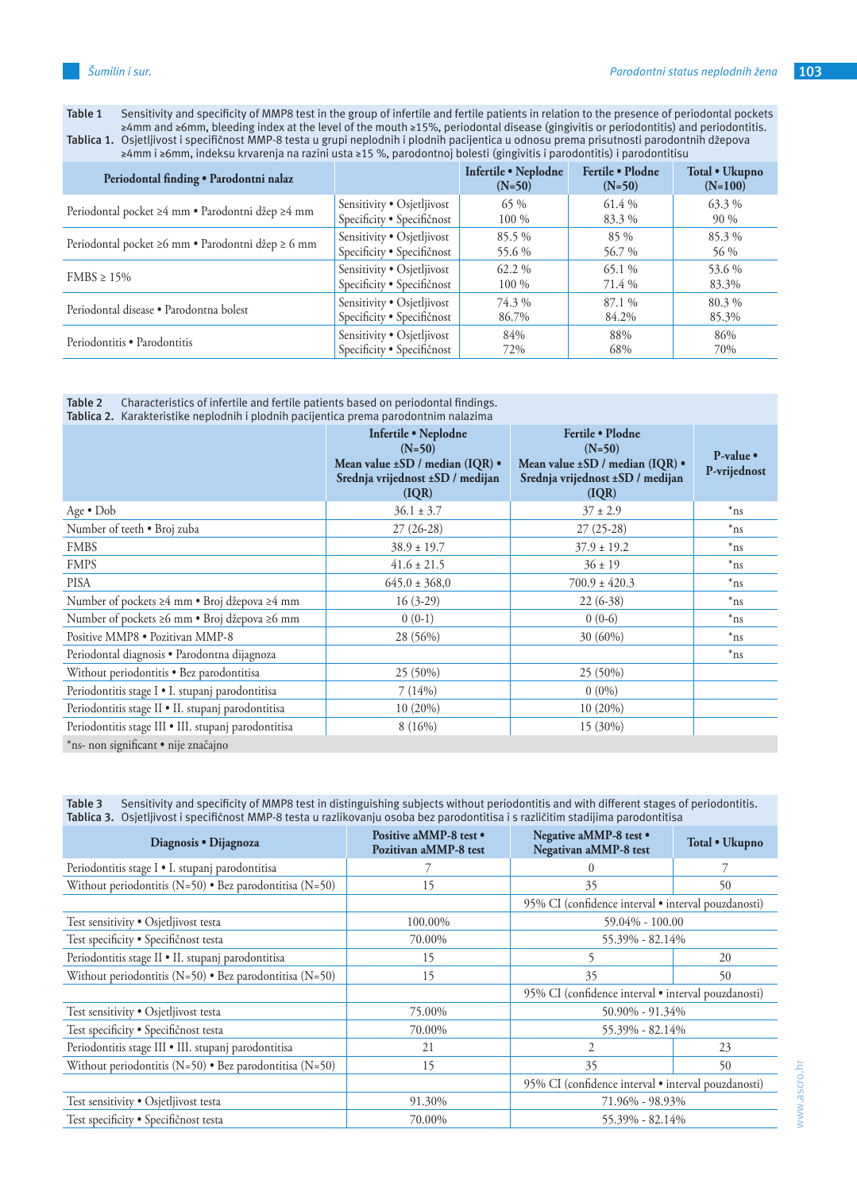**Table 1** Sensitivity and specificity of MMP8 test in the group of infertile and fertile patients in relation to the presence of periodontal pockets ≥4mm and ≥6mm, bleeding index at the level of the mouth ≥15%, periodontal disease (gingivitis or periodontitis) and periodontitis. **Tablica 1.** Osjetljivost i specifičnost MMP-8 testa u grupi neplodnih i plodnih pacijentica u odnosu prema prisutnosti parodontnih džepova

| <b>ca 1.</b> Objectivost i specificilost mini- o testa a grupi neptoumi i ploumii pacifentica a ounosa prema prisutnosti parouom |  |  |  |
|----------------------------------------------------------------------------------------------------------------------------------|--|--|--|
| ≥4mm i ≥6mm, indeksu krvarenja na razini usta ≥15 %, parodontnoj bolesti (gingivitis i parodontitis) i parodontitisu             |  |  |  |
|                                                                                                                                  |  |  |  |

| Periodontal finding . Parodontni nalaz            |                            | Infertile • Neplodne<br>$(N=50)$ | Fertile • Plodne<br>$(N=50)$ | Total • Ukupno<br>$(N=100)$ |
|---------------------------------------------------|----------------------------|----------------------------------|------------------------------|-----------------------------|
| Periodontal pocket ≥4 mm • Parodontni džep ≥4 mm  | Sensitivity • Osjetljivost | 65 %                             | 61.4 %                       | $63.3\%$                    |
|                                                   | Specificity • Specifičnost | 100 %                            | 83.3%                        | 90 %                        |
| Periodontal pocket ≥6 mm · Parodontni džep ≥ 6 mm | Sensitivity • Osjetljivost | $85.5\%$                         | $85\%$                       | 85.3%                       |
|                                                   | Specificity • Specifičnost | 55.6 %                           | 56.7 %                       | 56 %                        |
| $FMBS \ge 15\%$                                   | Sensitivity • Osjetljivost | 62.2 %                           | $65.1\%$                     | 53.6 %                      |
|                                                   | Specificity • Specifičnost | 100 %                            | 71.4 %                       | 83.3%                       |
| Periodontal disease • Parodontna bolest           | Sensitivity • Osjetljivost | 74.3 %                           | 87.1 %                       | 80.3%                       |
|                                                   | Specificity • Specifičnost | 86.7%                            | 84.2%                        | 85.3%                       |
| Periodontitis • Parodontitis                      | Sensitivity • Osjetljivost | 84%                              | 88%                          | 86%                         |
|                                                   | Specificity • Specifičnost | 72%                              | 68%                          | 70%                         |

**Table 2** Characteristics of infertile and fertile patients based on periodontal findings.

| Tablica 2. Karakteristike neplodnih i plodnih pacijentica prema parodontnim nalazima |                                                                                                                               |                                                                                                               |                             |  |  |
|--------------------------------------------------------------------------------------|-------------------------------------------------------------------------------------------------------------------------------|---------------------------------------------------------------------------------------------------------------|-----------------------------|--|--|
|                                                                                      | Infertile . Neplodne<br>$(N=50)$<br>Mean value $\pm SD$ / median (IQR) $\bullet$<br>Srednja vrijednost ±SD / medijan<br>(IQR) | Fertile • Plodne<br>$(N=50)$<br>Mean value ±SD / median (IQR) .<br>Srednja vrijednost ±SD / medijan<br>( IQR) | $P-value$ •<br>P-vrijednost |  |  |
| Age $\bullet$ Dob                                                                    | $36.1 \pm 3.7$                                                                                                                | $37 \pm 2.9$                                                                                                  | $*_{\text{ns}}$             |  |  |
| Number of teeth . Broj zuba                                                          | $27(26-28)$                                                                                                                   | $27(25-28)$                                                                                                   | $*_{\text{ns}}$             |  |  |
| <b>FMBS</b>                                                                          | $38.9 \pm 19.7$                                                                                                               | $37.9 \pm 19.2$                                                                                               | $*_{\text{ns}}$             |  |  |
| <b>FMPS</b>                                                                          | $41.6 \pm 21.5$                                                                                                               | $36 \pm 19$                                                                                                   | $*_{\text{ns}}$             |  |  |
| <b>PISA</b>                                                                          | $645.0 \pm 368.0$                                                                                                             | $700.9 \pm 420.3$                                                                                             | $*_{\text{ns}}$             |  |  |
| Number of pockets ≥4 mm • Broj džepova ≥4 mm                                         | $16(3-29)$                                                                                                                    | $22(6-38)$                                                                                                    | $*$ ns                      |  |  |
| Number of pockets ≥6 mm · Broj džepova ≥6 mm                                         | $0(0-1)$                                                                                                                      | $0(0-6)$                                                                                                      | $*$ ns                      |  |  |
| Positive MMP8 . Pozitivan MMP-8                                                      | 28 (56%)                                                                                                                      | 30 (60%)                                                                                                      | $*_{\text{ns}}$             |  |  |
| Periodontal diagnosis · Parodontna dijagnoza                                         |                                                                                                                               |                                                                                                               | $*_{\text{ns}}$             |  |  |
| Without periodontitis • Bez parodontitisa                                            | 25 (50%)                                                                                                                      | 25 (50%)                                                                                                      |                             |  |  |
| Periodontitis stage I · I. stupanj parodontitisa                                     | 7(14%)                                                                                                                        | $0(0\%)$                                                                                                      |                             |  |  |
| Periodontitis stage II · II. stupanj parodontitisa                                   | $10(20\%)$                                                                                                                    | $10(20\%)$                                                                                                    |                             |  |  |
| Periodontitis stage III · III. stupanj parodontitisa                                 | 8(16%)                                                                                                                        | 15 (30%)                                                                                                      |                             |  |  |
| *ns- non significant • nije značajno                                                 |                                                                                                                               |                                                                                                               |                             |  |  |

**Table 3** Sensitivity and specificity of MMP8 test in distinguishing subjects without periodontitis and with different stages of periodontitis. **Tablica 3.** Osjetljivost i specifičnost MMP-8 testa u razlikovanju osoba bez parodontitisa i s različitim stadijima parodontitisa

| Diagnosis • Dijagnoza                                           | Positive aMMP-8 test •<br>Pozitivan aMMP-8 test | Negative aMMP-8 test •<br>Negativan aMMP-8 test     | Total • Ukupno |
|-----------------------------------------------------------------|-------------------------------------------------|-----------------------------------------------------|----------------|
| Periodontitis stage I · I. stupanj parodontitisa                | 7                                               | $\Omega$                                            |                |
| Without periodontitis (N=50) $\bullet$ Bez parodontitisa (N=50) | 15                                              | 35                                                  | 50             |
|                                                                 |                                                 | 95% CI (confidence interval · interval pouzdanosti) |                |
| Test sensitivity . Osjetljivost testa                           | 100.00%                                         | $59.04\% - 100.00$                                  |                |
| Test specificity · Specifičnost testa                           | 70.00%                                          | 55.39% - 82.14%                                     |                |
| Periodontitis stage II · II. stupanj parodontitisa              | 15                                              |                                                     | 20             |
| Without periodontitis (N=50) • Bez parodontitisa (N=50)         | 15                                              | 35                                                  | 50             |
|                                                                 |                                                 | 95% CI (confidence interval · interval pouzdanosti) |                |
| Test sensitivity · Osjetljivost testa                           | 75.00%                                          | 50.90% - 91.34%                                     |                |
| Test specificity • Specifičnost testa                           | 70.00%                                          | 55.39% - 82.14%                                     |                |
| Periodontitis stage III · III. stupanj parodontitisa            | 21                                              | 2                                                   | 23             |
| Without periodontitis (N=50) $\bullet$ Bez parodontitisa (N=50) | 15                                              | 35                                                  | 50             |
|                                                                 |                                                 | 95% CI (confidence interval · interval pouzdanosti) |                |
| Test sensitivity . Osjetljivost testa                           | 91.30%                                          | 71.96% - 98.93%                                     |                |
| Test specificity • Specifičnost testa                           | 70.00%                                          | 55.39% - 82.14%                                     |                |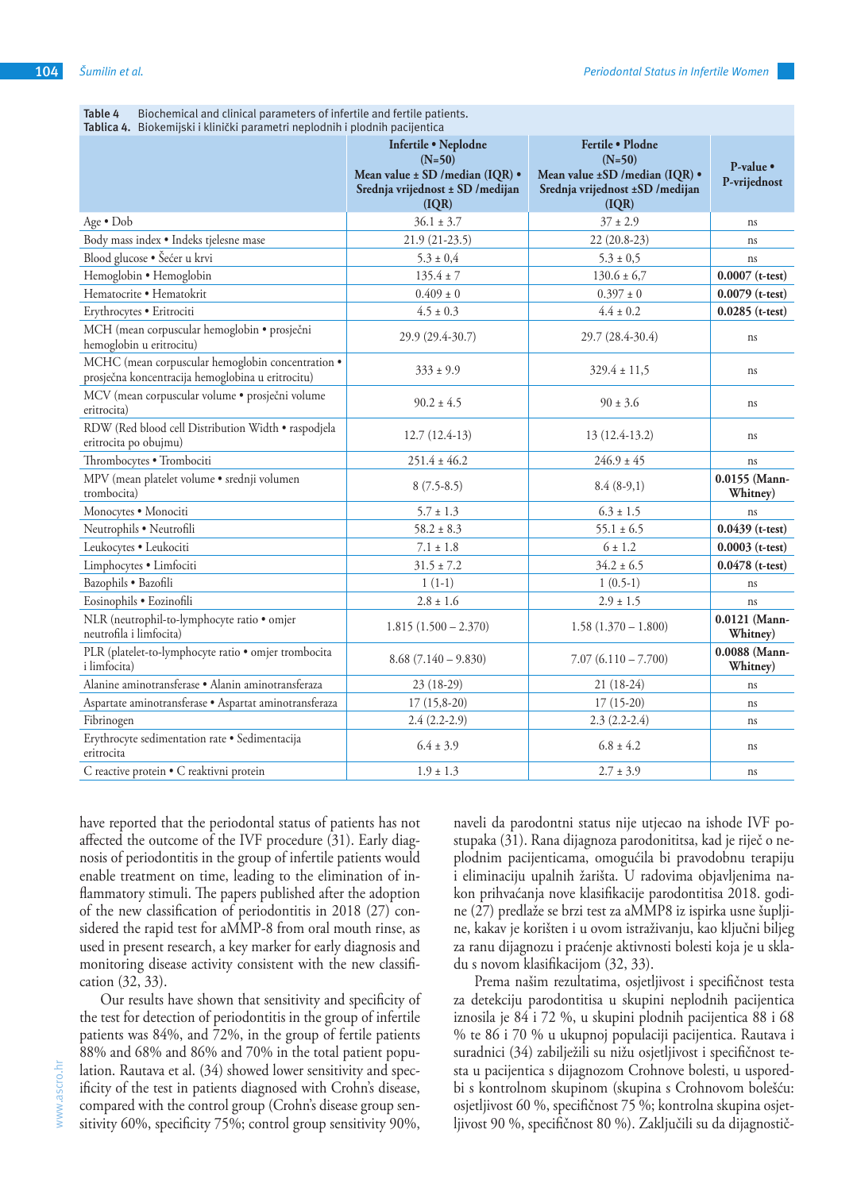| Table 4<br>Biochemical and clinical parameters of infertile and fertile patients.<br>Tablica 4. Biokemijski i klinički parametri neplodnih i plodnih pacijentica |                                                                                                                   |                                                                                                             |                           |
|------------------------------------------------------------------------------------------------------------------------------------------------------------------|-------------------------------------------------------------------------------------------------------------------|-------------------------------------------------------------------------------------------------------------|---------------------------|
|                                                                                                                                                                  | Infertile . Neplodne<br>$(N=50)$<br>Mean value ± SD /median (IQR) .<br>Srednja vrijednost ± SD /medijan<br>( IQR) | Fertile · Plodne<br>$(N=50)$<br>Mean value ±SD /median (IQR) .<br>Srednja vrijednost ±SD /medijan<br>( IQR) | P-value •<br>P-vrijednost |
| Age • Dob                                                                                                                                                        | $36.1 \pm 3.7$                                                                                                    | $37 \pm 2.9$                                                                                                | ns                        |
| Body mass index . Indeks tjelesne mase                                                                                                                           | $21.9(21-23.5)$                                                                                                   | 22 (20.8-23)                                                                                                | ns                        |
| Blood glucose · Šećer u krvi                                                                                                                                     | $5.3 \pm 0.4$                                                                                                     | $5.3 \pm 0.5$                                                                                               | ns                        |
| Hemoglobin . Hemoglobin                                                                                                                                          | $135.4 \pm 7$                                                                                                     | $130.6 \pm 6.7$                                                                                             | $0.0007$ (t-test)         |
| Hematocrite · Hematokrit                                                                                                                                         | $0.409 \pm 0$                                                                                                     | $0.397 \pm 0$                                                                                               | $0.0079$ (t-test)         |
| Erythrocytes · Eritrociti                                                                                                                                        | $4.5 \pm 0.3$                                                                                                     | $4.4 \pm 0.2$                                                                                               | $0.0285$ (t-test)         |
| MCH (mean corpuscular hemoglobin · prosječni<br>hemoglobin u eritrocitu)                                                                                         | 29.9 (29.4-30.7)                                                                                                  | 29.7 (28.4-30.4)                                                                                            | ns                        |
| MCHC (mean corpuscular hemoglobin concentration .<br>prosječna koncentracija hemoglobina u eritrocitu)                                                           | $333 \pm 9.9$                                                                                                     | $329.4 \pm 11,5$                                                                                            | ns                        |
| MCV (mean corpuscular volume · prosječni volume<br>eritrocita)                                                                                                   | $90.2 \pm 4.5$                                                                                                    | $90 \pm 3.6$                                                                                                | ns                        |
| RDW (Red blood cell Distribution Width · raspodjela<br>eritrocita po obujmu)                                                                                     | $12.7(12.4-13)$                                                                                                   | 13 (12.4-13.2)                                                                                              | ns                        |
| Thrombocytes . Trombociti                                                                                                                                        | $251.4 \pm 46.2$                                                                                                  | $246.9 \pm 45$                                                                                              | ns                        |
| MPV (mean platelet volume · srednji volumen<br>trombocita)                                                                                                       | $8(7.5-8.5)$                                                                                                      | $8.4(8-9,1)$                                                                                                | 0.0155 (Mann-<br>Whitney) |
| Monocytes · Monociti                                                                                                                                             | $5.7 \pm 1.3$                                                                                                     | $6.3 \pm 1.5$                                                                                               | ns                        |
| Neutrophils · Neutrofili                                                                                                                                         | $58.2 \pm 8.3$                                                                                                    | $55.1 \pm 6.5$                                                                                              | $0.0439$ (t-test)         |
| Leukocytes · Leukociti                                                                                                                                           | $7.1 \pm 1.8$                                                                                                     | $6 \pm 1.2$                                                                                                 | $0.0003$ (t-test)         |
| Limphocytes . Limfociti                                                                                                                                          | $31.5 \pm 7.2$                                                                                                    | $34.2 \pm 6.5$                                                                                              | $0.0478$ (t-test)         |
| Bazophils · Bazofili                                                                                                                                             | $1(1-1)$                                                                                                          | $1(0.5-1)$                                                                                                  | ns                        |
| Eosinophils · Eozinofili                                                                                                                                         | $2.8 \pm 1.6$                                                                                                     | $2.9 \pm 1.5$                                                                                               | ns                        |
| NLR (neutrophil-to-lymphocyte ratio · omjer<br>neutrofila i limfocita)                                                                                           | $1.815(1.500 - 2.370)$                                                                                            | $1.58(1.370 - 1.800)$                                                                                       | 0.0121 (Mann-<br>Whitney) |
| PLR (platelet-to-lymphocyte ratio · omjer trombocita<br>i limfocita)                                                                                             | $8.68$ (7.140 – 9.830)                                                                                            | $7.07(6.110 - 7.700)$                                                                                       | 0.0088 (Mann-<br>Whitney) |
| Alanine aminotransferase · Alanin aminotransferaza                                                                                                               | $23(18-29)$                                                                                                       | 21 (18-24)                                                                                                  | ns                        |
| Aspartate aminotransferase · Aspartat aminotransferaza                                                                                                           | $17(15,8-20)$                                                                                                     | $17(15-20)$                                                                                                 | ns                        |
| Fibrinogen                                                                                                                                                       | $2.4(2.2-2.9)$                                                                                                    | $2.3(2.2-2.4)$                                                                                              | ns                        |
| Erythrocyte sedimentation rate · Sedimentacija<br>eritrocita                                                                                                     | $6.4 \pm 3.9$                                                                                                     | $6.8 \pm 4.2$                                                                                               | ns                        |

C reactive protein • C reaktivni protein  $1.9 \pm 1.3$  2.7  $\pm 3.9$  ns

**Table 4** Biochemical and clinical parameters of infertile and fertile patients.

have reported that the periodontal status of patients has not affected the outcome of the IVF procedure (31). Early diagnosis of periodontitis in the group of infertile patients would enable treatment on time, leading to the elimination of inflammatory stimuli. The papers published after the adoption of the new classification of periodontitis in 2018 (27) considered the rapid test for aMMP-8 from oral mouth rinse, as used in present research, a key marker for early diagnosis and monitoring disease activity consistent with the new classification (32, 33).

Our results have shown that sensitivity and specificity of the test for detection of periodontitis in the group of infertile patients was 84%, and 72%, in the group of fertile patients 88% and 68% and 86% and 70% in the total patient population. Rautava et al. (34) showed lower sensitivity and specificity of the test in patients diagnosed with Crohn's disease, compared with the control group (Crohn's disease group sensitivity 60%, specificity 75%; control group sensitivity 90%,

naveli da parodontni status nije utjecao na ishode IVF postupaka (31). Rana dijagnoza parodonititsa, kad je riječ o neplodnim pacijenticama, omogućila bi pravodobnu terapiju i eliminaciju upalnih žarišta. U radovima objavljenima nakon prihvaćanja nove klasifikacije parodontitisa 2018. godine (27) predlaže se brzi test za aMMP8 iz ispirka usne šupljine, kakav je korišten i u ovom istraživanju, kao ključni biljeg za ranu dijagnozu i praćenje aktivnosti bolesti koja je u skladu s novom klasifikacijom (32, 33).

Prema našim rezultatima, osjetljivost i specifičnost testa za detekciju parodontitisa u skupini neplodnih pacijentica iznosila je 84 i 72 %, u skupini plodnih pacijentica 88 i 68 % te 86 i 70 % u ukupnoj populaciji pacijentica. Rautava i suradnici (34) zabilježili su nižu osjetljivost i specifičnost testa u pacijentica s dijagnozom Crohnove bolesti, u usporedbi s kontrolnom skupinom (skupina s Crohnovom bolešću: osjetljivost 60 %, specifičnost 75 %; kontrolna skupina osjetljivost 90 %, specifičnost 80 %). Zaključili su da dijagnostič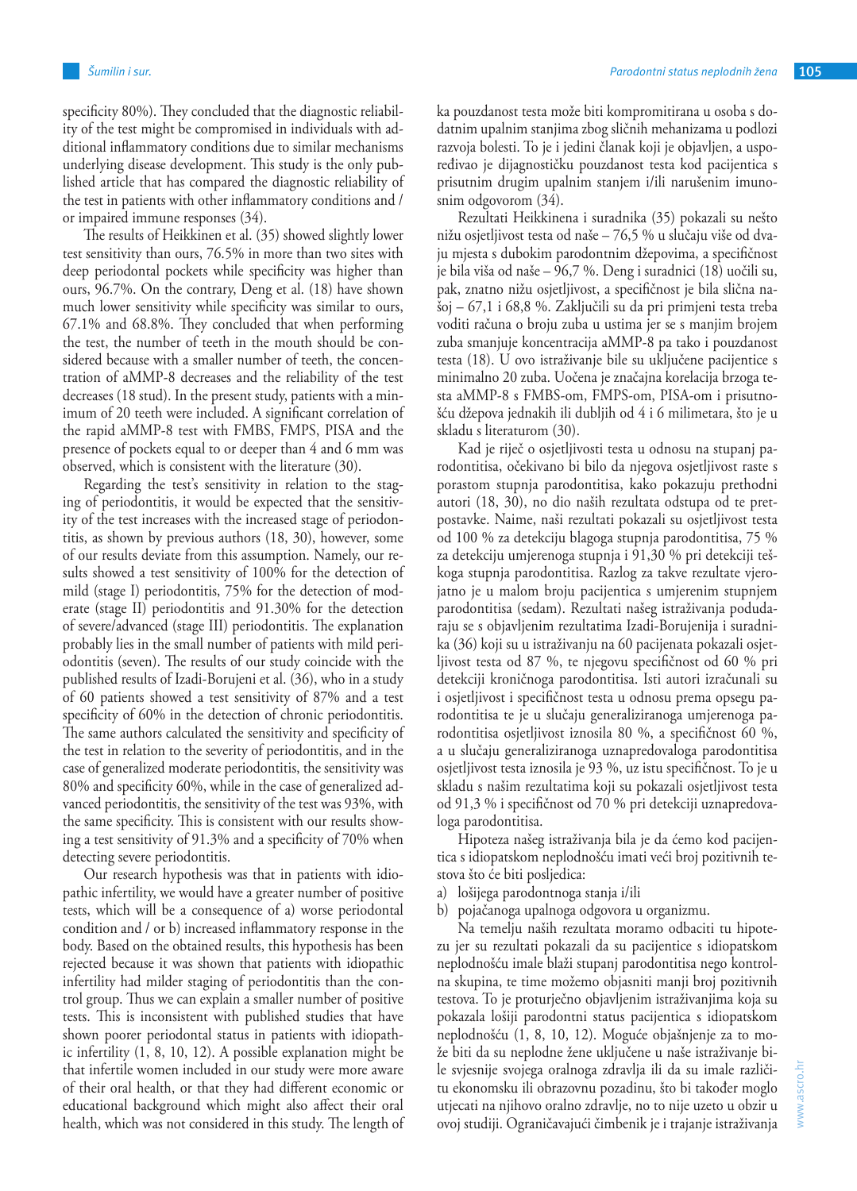specificity 80%). They concluded that the diagnostic reliability of the test might be compromised in individuals with additional inflammatory conditions due to similar mechanisms underlying disease development. This study is the only published article that has compared the diagnostic reliability of the test in patients with other inflammatory conditions and / or impaired immune responses (34).

The results of Heikkinen et al. (35) showed slightly lower test sensitivity than ours, 76.5% in more than two sites with deep periodontal pockets while specificity was higher than ours, 96.7%. On the contrary, Deng et al. (18) have shown much lower sensitivity while specificity was similar to ours, 67.1% and 68.8%. They concluded that when performing the test, the number of teeth in the mouth should be considered because with a smaller number of teeth, the concentration of aMMP-8 decreases and the reliability of the test decreases (18 stud). In the present study, patients with a minimum of 20 teeth were included. A significant correlation of the rapid aMMP-8 test with FMBS, FMPS, PISA and the presence of pockets equal to or deeper than 4 and 6 mm was observed, which is consistent with the literature (30).

Regarding the test's sensitivity in relation to the staging of periodontitis, it would be expected that the sensitivity of the test increases with the increased stage of periodontitis, as shown by previous authors (18, 30), however, some of our results deviate from this assumption. Namely, our results showed a test sensitivity of 100% for the detection of mild (stage I) periodontitis, 75% for the detection of moderate (stage II) periodontitis and 91.30% for the detection of severe/advanced (stage III) periodontitis. The explanation probably lies in the small number of patients with mild periodontitis (seven). The results of our study coincide with the published results of Izadi-Borujeni et al. (36), who in a study of 60 patients showed a test sensitivity of 87% and a test specificity of 60% in the detection of chronic periodontitis. The same authors calculated the sensitivity and specificity of the test in relation to the severity of periodontitis, and in the case of generalized moderate periodontitis, the sensitivity was 80% and specificity 60%, while in the case of generalized advanced periodontitis, the sensitivity of the test was 93%, with the same specificity. This is consistent with our results showing a test sensitivity of 91.3% and a specificity of 70% when detecting severe periodontitis.

Our research hypothesis was that in patients with idiopathic infertility, we would have a greater number of positive tests, which will be a consequence of a) worse periodontal condition and / or b) increased inflammatory response in the body. Based on the obtained results, this hypothesis has been rejected because it was shown that patients with idiopathic infertility had milder staging of periodontitis than the control group. Thus we can explain a smaller number of positive tests. This is inconsistent with published studies that have shown poorer periodontal status in patients with idiopathic infertility (1, 8, 10, 12). A possible explanation might be that infertile women included in our study were more aware of their oral health, or that they had different economic or educational background which might also affect their oral health, which was not considered in this study. The length of ka pouzdanost testa može biti kompromitirana u osoba s dodatnim upalnim stanjima zbog sličnih mehanizama u podlozi razvoja bolesti. To je i jedini članak koji je objavljen, a uspoređivao je dijagnostičku pouzdanost testa kod pacijentica s prisutnim drugim upalnim stanjem i/ili narušenim imunosnim odgovorom (34).

Rezultati Heikkinena i suradnika (35) pokazali su nešto nižu osjetljivost testa od naše – 76,5 % u slučaju više od dvaju mjesta s dubokim parodontnim džepovima, a specifičnost je bila viša od naše – 96,7 %. Deng i suradnici (18) uočili su, pak, znatno nižu osjetljivost, a specifičnost je bila slična našoj – 67,1 i 68,8 %. Zaključili su da pri primjeni testa treba voditi računa o broju zuba u ustima jer se s manjim brojem zuba smanjuje koncentracija aMMP-8 pa tako i pouzdanost testa (18). U ovo istraživanje bile su uključene pacijentice s minimalno 20 zuba. Uočena je značajna korelacija brzoga testa aMMP-8 s FMBS-om, FMPS-om, PISA-om i prisutnošću džepova jednakih ili dubljih od 4 i 6 milimetara, što je u skladu s literaturom (30).

Kad je riječ o osjetljivosti testa u odnosu na stupanj parodontitisa, očekivano bi bilo da njegova osjetljivost raste s porastom stupnja parodontitisa, kako pokazuju prethodni autori (18, 30), no dio naših rezultata odstupa od te pretpostavke. Naime, naši rezultati pokazali su osjetljivost testa od 100 % za detekciju blagoga stupnja parodontitisa, 75 % za detekciju umjerenoga stupnja i 91,30 % pri detekciji teškoga stupnja parodontitisa. Razlog za takve rezultate vjerojatno je u malom broju pacijentica s umjerenim stupnjem parodontitisa (sedam). Rezultati našeg istraživanja podudaraju se s objavljenim rezultatima Izadi-Borujenija i suradnika (36) koji su u istraživanju na 60 pacijenata pokazali osjetljivost testa od 87 %, te njegovu specifičnost od 60 % pri detekciji kroničnoga parodontitisa. Isti autori izračunali su i osjetljivost i specifičnost testa u odnosu prema opsegu parodontitisa te je u slučaju generaliziranoga umjerenoga parodontitisa osjetljivost iznosila 80 %, a specifičnost 60 %, a u slučaju generaliziranoga uznapredovaloga parodontitisa osjetljivost testa iznosila je 93 %, uz istu specifičnost. To je u skladu s našim rezultatima koji su pokazali osjetljivost testa od 91,3 % i specifičnost od 70 % pri detekciji uznapredovaloga parodontitisa.

Hipoteza našeg istraživanja bila je da ćemo kod pacijentica s idiopatskom neplodnošću imati veći broj pozitivnih testova što će biti posljedica:

- a) lošijega parodontnoga stanja i/ili
- b) pojačanoga upalnoga odgovora u organizmu.

Na temelju naših rezultata moramo odbaciti tu hipotezu jer su rezultati pokazali da su pacijentice s idiopatskom neplodnošću imale blaži stupanj parodontitisa nego kontrolna skupina, te time možemo objasniti manji broj pozitivnih testova. To je proturječno objavljenim istraživanjima koja su pokazala lošiji parodontni status pacijentica s idiopatskom neplodnošću (1, 8, 10, 12). Moguće objašnjenje za to može biti da su neplodne žene uključene u naše istraživanje bile svjesnije svojega oralnoga zdravlja ili da su imale različitu ekonomsku ili obrazovnu pozadinu, što bi također moglo utjecati na njihovo oralno zdravlje, no to nije uzeto u obzir u ovoj studiji. Ograničavajući čimbenik je i trajanje istraživanja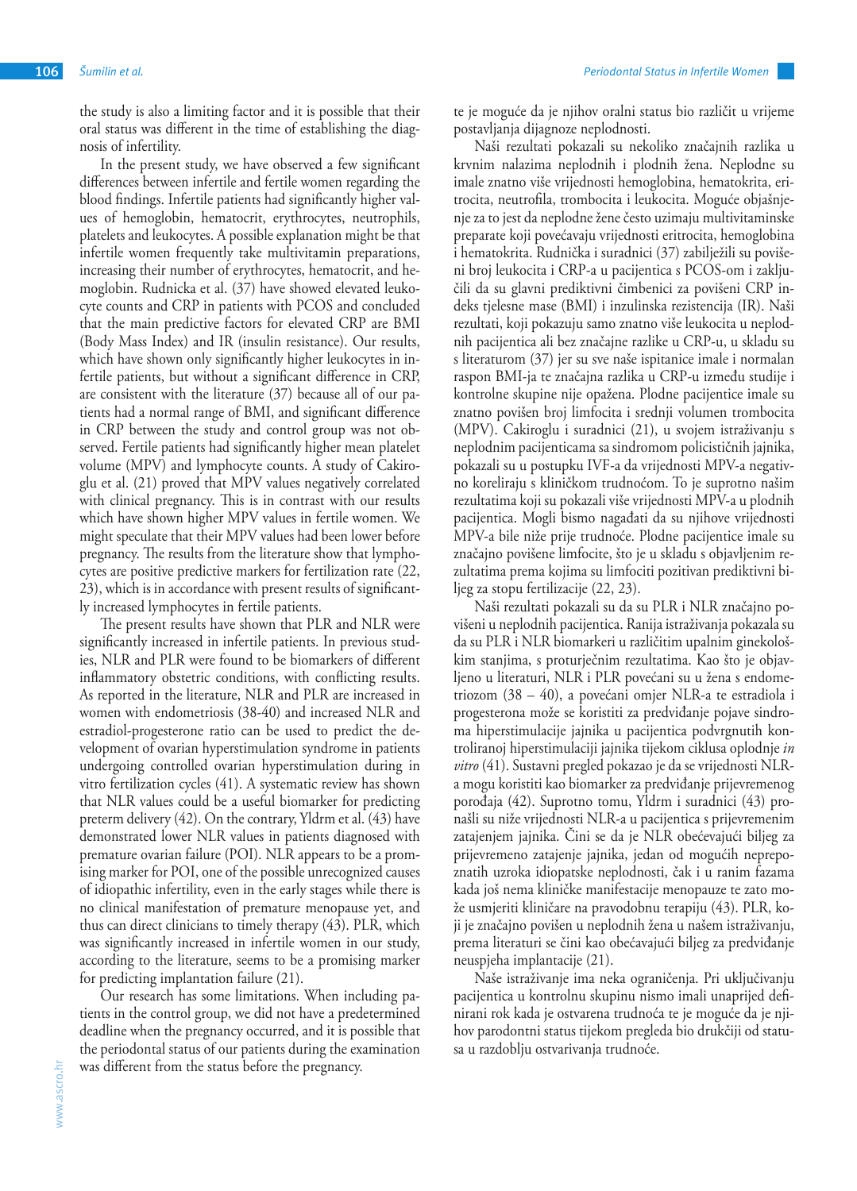the study is also a limiting factor and it is possible that their oral status was different in the time of establishing the diagnosis of infertility.

In the present study, we have observed a few significant differences between infertile and fertile women regarding the blood findings. Infertile patients had significantly higher values of hemoglobin, hematocrit, erythrocytes, neutrophils, platelets and leukocytes. A possible explanation might be that infertile women frequently take multivitamin preparations, increasing their number of erythrocytes, hematocrit, and hemoglobin. Rudnicka et al. (37) have showed elevated leukocyte counts and CRP in patients with PCOS and concluded that the main predictive factors for elevated CRP are BMI (Body Mass Index) and IR (insulin resistance). Our results, which have shown only significantly higher leukocytes in infertile patients, but without a significant difference in CRP, are consistent with the literature (37) because all of our patients had a normal range of BMI, and significant difference in CRP between the study and control group was not observed. Fertile patients had significantly higher mean platelet volume (MPV) and lymphocyte counts. A study of Cakiroglu et al. (21) proved that MPV values negatively correlated with clinical pregnancy. This is in contrast with our results which have shown higher MPV values in fertile women. We might speculate that their MPV values had been lower before pregnancy. The results from the literature show that lymphocytes are positive predictive markers for fertilization rate (22, 23), which is in accordance with present results of significantly increased lymphocytes in fertile patients.

The present results have shown that PLR and NLR were significantly increased in infertile patients. In previous studies, NLR and PLR were found to be biomarkers of different inflammatory obstetric conditions, with conflicting results. As reported in the literature, NLR and PLR are increased in women with endometriosis (38-40) and increased NLR and estradiol-progesterone ratio can be used to predict the development of ovarian hyperstimulation syndrome in patients undergoing controlled ovarian hyperstimulation during in vitro fertilization cycles (41). A systematic review has shown that NLR values could be a useful biomarker for predicting preterm delivery (42). On the contrary, Yldrm et al. (43) have demonstrated lower NLR values in patients diagnosed with premature ovarian failure (POI). NLR appears to be a promising marker for POI, one of the possible unrecognized causes of idiopathic infertility, even in the early stages while there is no clinical manifestation of premature menopause yet, and thus can direct clinicians to timely therapy (43). PLR, which was significantly increased in infertile women in our study, according to the literature, seems to be a promising marker for predicting implantation failure (21).

Our research has some limitations. When including patients in the control group, we did not have a predetermined deadline when the pregnancy occurred, and it is possible that the periodontal status of our patients during the examination was different from the status before the pregnancy.

te je moguće da je njihov oralni status bio različit u vrijeme postavljanja dijagnoze neplodnosti.

Naši rezultati pokazali su nekoliko značajnih razlika u krvnim nalazima neplodnih i plodnih žena. Neplodne su imale znatno više vrijednosti hemoglobina, hematokrita, eritrocita, neutrofila, trombocita i leukocita. Moguće objašnjenje za to jest da neplodne žene često uzimaju multivitaminske preparate koji povećavaju vrijednosti eritrocita, hemoglobina i hematokrita. Rudnička i suradnici (37) zabilježili su povišeni broj leukocita i CRP-a u pacijentica s PCOS-om i zaključili da su glavni prediktivni čimbenici za povišeni CRP indeks tjelesne mase (BMI) i inzulinska rezistencija (IR). Naši rezultati, koji pokazuju samo znatno više leukocita u neplodnih pacijentica ali bez značajne razlike u CRP-u, u skladu su s literaturom (37) jer su sve naše ispitanice imale i normalan raspon BMI-ja te značajna razlika u CRP-u između studije i kontrolne skupine nije opažena. Plodne pacijentice imale su znatno povišen broj limfocita i srednji volumen trombocita (MPV). Cakiroglu i suradnici (21), u svojem istraživanju s neplodnim pacijenticama sa sindromom policističnih jajnika, pokazali su u postupku IVF-a da vrijednosti MPV-a negativno koreliraju s kliničkom trudnoćom. To je suprotno našim rezultatima koji su pokazali više vrijednosti MPV-a u plodnih pacijentica. Mogli bismo nagađati da su njihove vrijednosti MPV-a bile niže prije trudnoće. Plodne pacijentice imale su značajno povišene limfocite, što je u skladu s objavljenim rezultatima prema kojima su limfociti pozitivan prediktivni biljeg za stopu fertilizacije (22, 23).

Naši rezultati pokazali su da su PLR i NLR značajno povišeni u neplodnih pacijentica. Ranija istraživanja pokazala su da su PLR i NLR biomarkeri u različitim upalnim ginekološkim stanjima, s proturječnim rezultatima. Kao što je objavljeno u literaturi, NLR i PLR povećani su u žena s endometriozom (38 – 40), a povećani omjer NLR-a te estradiola i progesterona može se koristiti za predviđanje pojave sindroma hiperstimulacije jajnika u pacijentica podvrgnutih kontroliranoj hiperstimulaciji jajnika tijekom ciklusa oplodnje *in vitro* (41). Sustavni pregled pokazao je da se vrijednosti NLRa mogu koristiti kao biomarker za predviđanje prijevremenog porođaja (42). Suprotno tomu, Yldrm i suradnici (43) pronašli su niže vrijednosti NLR-a u pacijentica s prijevremenim zatajenjem jajnika. Čini se da je NLR obećevajući biljeg za prijevremeno zatajenje jajnika, jedan od mogućih neprepoznatih uzroka idiopatske neplodnosti, čak i u ranim fazama kada još nema kliničke manifestacije menopauze te zato može usmjeriti kliničare na pravodobnu terapiju (43). PLR, koji je značajno povišen u neplodnih žena u našem istraživanju, prema literaturi se čini kao obećavajući biljeg za predviđanje neuspjeha implantacije (21).

Naše istraživanje ima neka ograničenja. Pri uključivanju pacijentica u kontrolnu skupinu nismo imali unaprijed definirani rok kada je ostvarena trudnoća te je moguće da je njihov parodontni status tijekom pregleda bio drukčiji od statusa u razdoblju ostvarivanja trudnoće.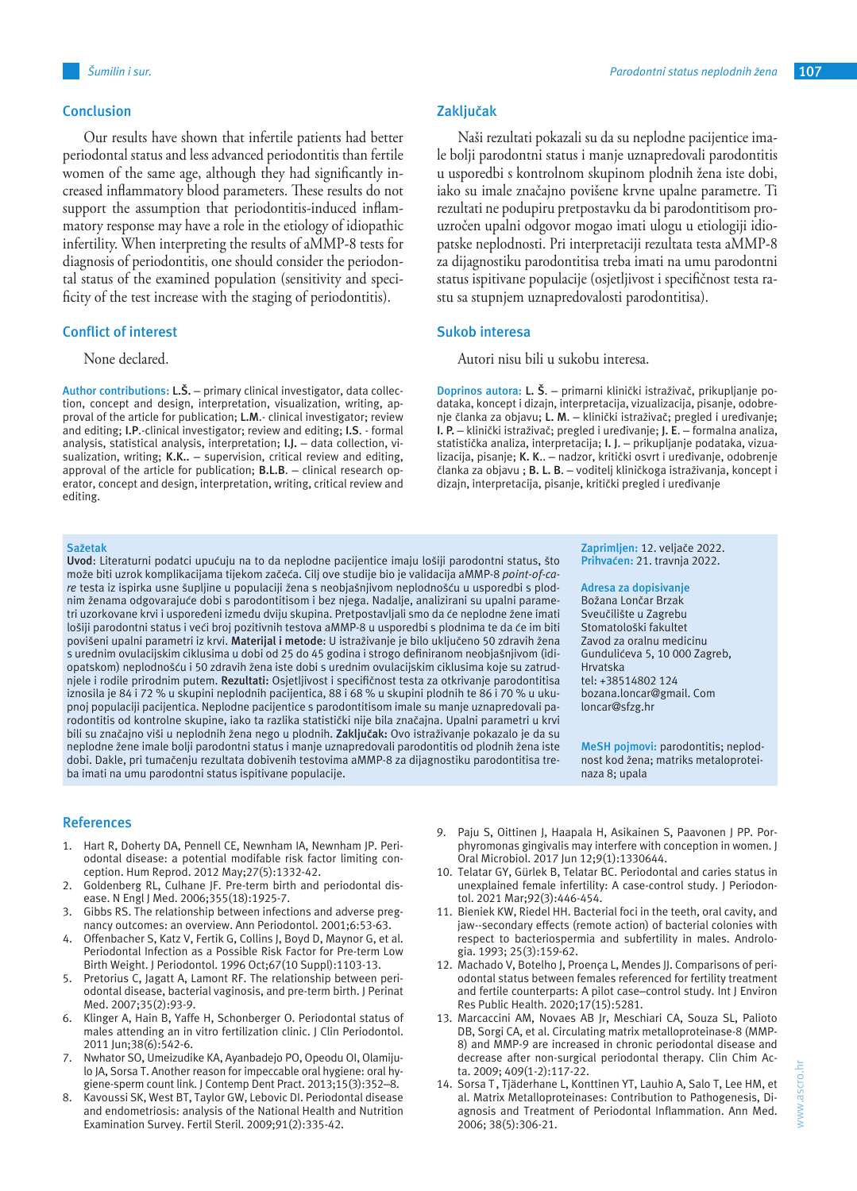Our results have shown that infertile patients had better periodontal status and less advanced periodontitis than fertile women of the same age, although they had significantly increased inflammatory blood parameters. These results do not support the assumption that periodontitis-induced inflammatory response may have a role in the etiology of idiopathic infertility. When interpreting the results of aMMP-8 tests for diagnosis of periodontitis, one should consider the periodontal status of the examined population (sensitivity and specificity of the test increase with the staging of periodontitis).

## **Conflict of interest**

## None declared.

**Author contributions: L.Š.** – primary clinical investigator, data collection, concept and design, interpretation, visualization, writing, approval of the article for publication; **L.M**.- clinical investigator; review and editing; **I.P**.-clinical investigator; review and editing; **I.S**. - formal analysis, statistical analysis, interpretation; **I.J.** – data collection, visualization, writing; **K.K..** – supervision, critical review and editing, approval of the article for publication; **B.L.B**. – clinical research operator, concept and design, interpretation, writing, critical review and editing.

#### **Sažetak**

**Uvod**: Literaturni podatci upućuju na to da neplodne pacijentice imaju lošiji parodontni status, što može biti uzrok komplikacijama tijekom začeća. Cilj ove studije bio je validacija aMMP-8 *point-of-care* testa iz ispirka usne šupljine u populaciji žena s neobjašnjivom neplodnošću u usporedbi s plodnim ženama odgovarajuće dobi s parodontitisom i bez njega. Nadalje, analizirani su upalni parametri uzorkovane krvi i uspoređeni između dviju skupina. Pretpostavljali smo da će neplodne žene imati lošiji parodontni status i veći broj pozitivnih testova aMMP-8 u usporedbi s plodnima te da će im biti povišeni upalni parametri iz krvi. **Materijal i metode**: U istraživanje je bilo uključeno 50 zdravih žena s urednim ovulacijskim ciklusima u dobi od 25 do 45 godina i strogo definiranom neobjašnjivom (idiopatskom) neplodnošću i 50 zdravih žena iste dobi s urednim ovulacijskim ciklusima koje su zatrudnjele i rodile prirodnim putem. **Rezultati:** Osjetljivost i specifičnost testa za otkrivanje parodontitisa iznosila je 84 i 72 % u skupini neplodnih pacijentica, 88 i 68 % u skupini plodnih te 86 i 70 % u ukupnoj populaciji pacijentica. Neplodne pacijentice s parodontitisom imale su manje uznapredovali parodontitis od kontrolne skupine, iako ta razlika statistički nije bila značajna. Upalni parametri u krvi bili su značajno viši u neplodnih žena nego u plodnih. **Zaključak:** Ovo istraživanje pokazalo je da su neplodne žene imale bolji parodontni status i manje uznapredovali parodontitis od plodnih žena iste dobi. Dakle, pri tumačenju rezultata dobivenih testovima aMMP-8 za dijagnostiku parodontitisa treba imati na umu parodontni status ispitivane populacije.

#### **References**

- 1. Hart R, Doherty DA, Pennell CE, Newnham IA, Newnham JP. Periodontal disease: a potential modifable risk factor limiting conception. Hum Reprod. 2012 May;27(5):1332-42.
- 2. Goldenberg RL, Culhane JF. Pre-term birth and periodontal disease. N Engl J Med. 2006;355(18):1925-7.
- 3. Gibbs RS. The relationship between infections and adverse pregnancy outcomes: an overview. Ann Periodontol. 2001;6:53-63.
- 4. Offenbacher S, Katz V, Fertik G, Collins J, Boyd D, Maynor G, et al. Periodontal Infection as a Possible Risk Factor for Pre-term Low Birth Weight. J Periodontol. 1996 Oct;67(10 Suppl):1103-13.
- 5. Pretorius C, Jagatt A, Lamont RF. The relationship between periodontal disease, bacterial vaginosis, and pre-term birth. J Perinat Med. 2007;35(2):93-9.
- 6. Klinger A, Hain B, Yaffe H, Schonberger O. Periodontal status of males attending an in vitro fertilization clinic. J Clin Periodontol. 2011 Jun;38(6):542-6.
- 7. Nwhator SO, Umeizudike KA, Ayanbadejo PO, Opeodu OI, Olamijulo JA, Sorsa T. Another reason for impeccable oral hygiene: oral hygiene-sperm count link. J Contemp Dent Pract. 2013;15(3):352–8.
- 8. Kavoussi SK, West BT, Taylor GW, Lebovic DI. Periodontal disease and endometriosis: analysis of the National Health and Nutrition Examination Survey. Fertil Steril. 2009;91(2):335-42.

Naši rezultati pokazali su da su neplodne pacijentice imale bolji parodontni status i manje uznapredovali parodontitis u usporedbi s kontrolnom skupinom plodnih žena iste dobi, iako su imale značajno povišene krvne upalne parametre. Ti rezultati ne podupiru pretpostavku da bi parodontitisom prouzročen upalni odgovor mogao imati ulogu u etiologiji idiopatske neplodnosti. Pri interpretaciji rezultata testa aMMP-8 za dijagnostiku parodontitisa treba imati na umu parodontni status ispitivane populacije (osjetljivost i specifičnost testa rastu sa stupnjem uznapredovalosti parodontitisa).

#### **Sukob interesa**

Autori nisu bili u sukobu interesa.

**Doprinos autora: L. Š**. – primarni klinički istraživač, prikupljanje podataka, koncept i dizajn, interpretacija, vizualizacija, pisanje, odobrenje članka za objavu; **L. M**. – klinički istraživač; pregled i uređivanje; **I. P.** – klinički istraživač; pregled i uređivanje; **J. E**. – formalna analiza, statistička analiza, interpretacija; **I. J**. – prikupljanje podataka, vizualizacija, pisanje; **K. K**.. – nadzor, kritički osvrt i uređivanje, odobrenje članka za objavu ; **B. L. B**. – voditelj kliničkoga istraživanja, koncept i dizajn, interpretacija, pisanje, kritički pregled i uređivanje

> **Zaprimljen:** 12. veljače 2022. **Prihvaćen:** 21. travnja 2022.

**Adresa za dopisivanje**

Božana Lončar Brzak Sveučilište u Zagrebu Stomatološki fakultet Zavod za oralnu medicinu Gundulićeva 5, 10 000 Zagreb, Hrvatska tel: +38514802 124 bozana.loncar@gmail. Com loncar@sfzg.hr

**MeSH pojmovi:** parodontitis; neplodnost kod žena; matriks metaloproteinaza 8; upala

- 9. Paju S, Oittinen J, Haapala H, Asikainen S, Paavonen J PP. Porphyromonas gingivalis may interfere with conception in women. J Oral Microbiol. 2017 Jun 12;9(1):1330644.
- 10. Telatar GY, Gürlek B, Telatar BC. Periodontal and caries status in unexplained female infertility: A case-control study. J Periodontol. 2021 Mar;92(3):446-454.
- 11. Bieniek KW, Riedel HH. Bacterial foci in the teeth, oral cavity, and jaw--secondary effects (remote action) of bacterial colonies with respect to bacteriospermia and subfertility in males. Andrologia. 1993; 25(3):159-62.
- 12. Machado V, Botelho J, Proença L, Mendes JJ. Comparisons of periodontal status between females referenced for fertility treatment and fertile counterparts: A pilot case–control study. Int J Environ Res Public Health. 2020;17(15):5281.
- 13. Marcaccini AM, Novaes AB Jr, Meschiari CA, Souza SL, Palioto DB, Sorgi CA, et al. Circulating matrix metalloproteinase-8 (MMP-8) and MMP-9 are increased in chronic periodontal disease and decrease after non-surgical periodontal therapy. Clin Chim Acta. 2009; 409(1-2):117-22.
- 14. Sorsa T, Tjäderhane L, Konttinen YT, Lauhio A, Salo T, Lee HM, et al. Matrix Metalloproteinases: Contribution to Pathogenesis, Diagnosis and Treatment of Periodontal Inflammation. Ann Med. 2006; 38(5):306-21.